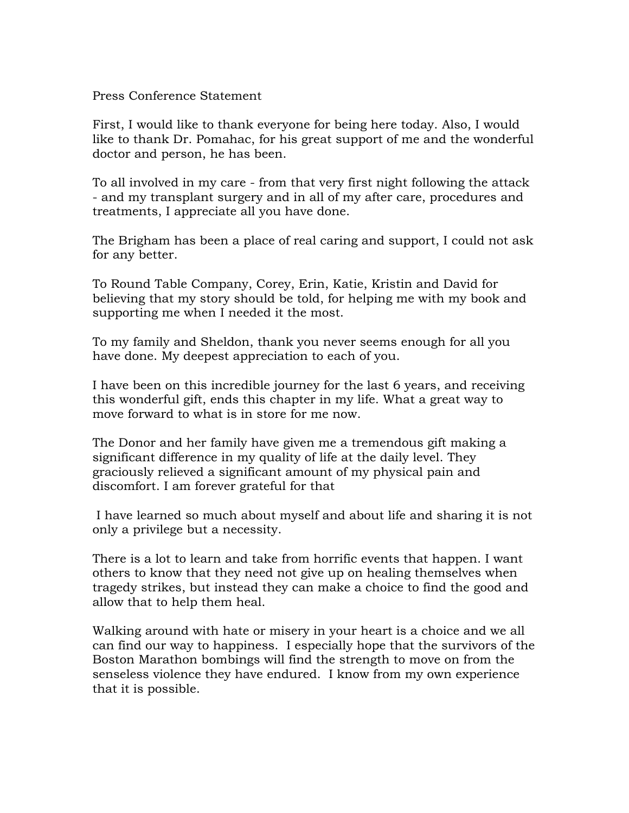## Press Conference Statement

First, I would like to thank everyone for being here today. Also, I would like to thank Dr. Pomahac, for his great support of me and the wonderful doctor and person, he has been.

To all involved in my care - from that very first night following the attack - and my transplant surgery and in all of my after care, procedures and treatments, I appreciate all you have done.

The Brigham has been a place of real caring and support, I could not ask for any better.

To Round Table Company, Corey, Erin, Katie, Kristin and David for believing that my story should be told, for helping me with my book and supporting me when I needed it the most.

To my family and Sheldon, thank you never seems enough for all you have done. My deepest appreciation to each of you.

I have been on this incredible journey for the last 6 years, and receiving this wonderful gift, ends this chapter in my life. What a great way to move forward to what is in store for me now.

The Donor and her family have given me a tremendous gift making a significant difference in my quality of life at the daily level. They graciously relieved a significant amount of my physical pain and discomfort. I am forever grateful for that

I have learned so much about myself and about life and sharing it is not only a privilege but a necessity.

There is a lot to learn and take from horrific events that happen. I want others to know that they need not give up on healing themselves when tragedy strikes, but instead they can make a choice to find the good and allow that to help them heal.

Walking around with hate or misery in your heart is a choice and we all can find our way to happiness. I especially hope that the survivors of the Boston Marathon bombings will find the strength to move on from the senseless violence they have endured. I know from my own experience that it is possible.